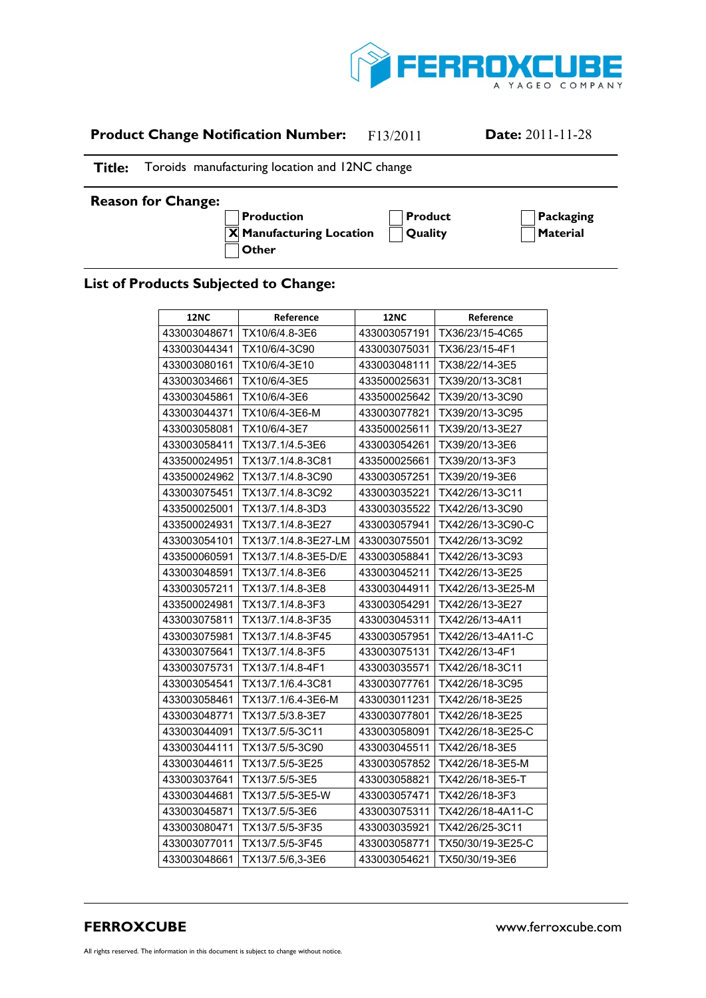

## **Product Change Notification Number:** F13/2011 **Date:** 2011-11-28

## **Title:** Toroids manufacturing location and 12NC change

## **Reason for Change:**

**A Production A Product A Packaging**  $\overline{X}$  **Manufacturing Location**  $\bigcap$  Quality  $\bigcap$  **Material A Other**

## **List of Products Subjected to Change:**

| <b>12NC</b>  | Reference            | <b>12NC</b>  | Reference         |
|--------------|----------------------|--------------|-------------------|
| 433003048671 | TX10/6/4.8-3E6       | 433003057191 | TX36/23/15-4C65   |
| 433003044341 | TX10/6/4-3C90        | 433003075031 | TX36/23/15-4F1    |
| 433003080161 | TX10/6/4-3E10        | 433003048111 | TX38/22/14-3E5    |
| 433003034661 | TX10/6/4-3E5         | 433500025631 | TX39/20/13-3C81   |
| 433003045861 | TX10/6/4-3E6         | 433500025642 | TX39/20/13-3C90   |
| 433003044371 | TX10/6/4-3E6-M       | 433003077821 | TX39/20/13-3C95   |
| 433003058081 | TX10/6/4-3E7         | 433500025611 | TX39/20/13-3E27   |
| 433003058411 | TX13/7.1/4.5-3E6     | 433003054261 | TX39/20/13-3E6    |
| 433500024951 | TX13/7.1/4.8-3C81    | 433500025661 | TX39/20/13-3F3    |
| 433500024962 | TX13/7.1/4.8-3C90    | 433003057251 | TX39/20/19-3E6    |
| 433003075451 | TX13/7.1/4.8-3C92    | 433003035221 | TX42/26/13-3C11   |
| 433500025001 | TX13/7.1/4.8-3D3     | 433003035522 | TX42/26/13-3C90   |
| 433500024931 | TX13/7.1/4.8-3E27    | 433003057941 | TX42/26/13-3C90-C |
| 433003054101 | TX13/7.1/4.8-3E27-LM | 433003075501 | TX42/26/13-3C92   |
| 433500060591 | TX13/7.1/4.8-3E5-D/E | 433003058841 | TX42/26/13-3C93   |
| 433003048591 | TX13/7.1/4.8-3E6     | 433003045211 | TX42/26/13-3E25   |
| 433003057211 | TX13/7.1/4.8-3E8     | 433003044911 | TX42/26/13-3E25-M |
| 433500024981 | TX13/7.1/4.8-3F3     | 433003054291 | TX42/26/13-3E27   |
| 433003075811 | TX13/7.1/4.8-3F35    | 433003045311 | TX42/26/13-4A11   |
| 433003075981 | TX13/7.1/4.8-3F45    | 433003057951 | TX42/26/13-4A11-C |
| 433003075641 | TX13/7.1/4.8-3F5     | 433003075131 | TX42/26/13-4F1    |
| 433003075731 | TX13/7.1/4.8-4F1     | 433003035571 | TX42/26/18-3C11   |
| 433003054541 | TX13/7.1/6.4-3C81    | 433003077761 | TX42/26/18-3C95   |
| 433003058461 | TX13/7.1/6.4-3E6-M   | 433003011231 | TX42/26/18-3E25   |
| 433003048771 | TX13/7.5/3.8-3E7     | 433003077801 | TX42/26/18-3E25   |
| 433003044091 | TX13/7.5/5-3C11      | 433003058091 | TX42/26/18-3E25-C |
| 433003044111 | TX13/7.5/5-3C90      | 433003045511 | TX42/26/18-3E5    |
| 433003044611 | TX13/7.5/5-3E25      | 433003057852 | TX42/26/18-3E5-M  |
| 433003037641 | TX13/7.5/5-3E5       | 433003058821 | TX42/26/18-3E5-T  |
| 433003044681 | TX13/7.5/5-3E5-W     | 433003057471 | TX42/26/18-3F3    |
| 433003045871 | TX13/7.5/5-3E6       | 433003075311 | TX42/26/18-4A11-C |
| 433003080471 | TX13/7.5/5-3F35      | 433003035921 | TX42/26/25-3C11   |
| 433003077011 | TX13/7.5/5-3F45      | 433003058771 | TX50/30/19-3E25-C |
| 433003048661 | TX13/7.5/6,3-3E6     | 433003054621 | TX50/30/19-3E6    |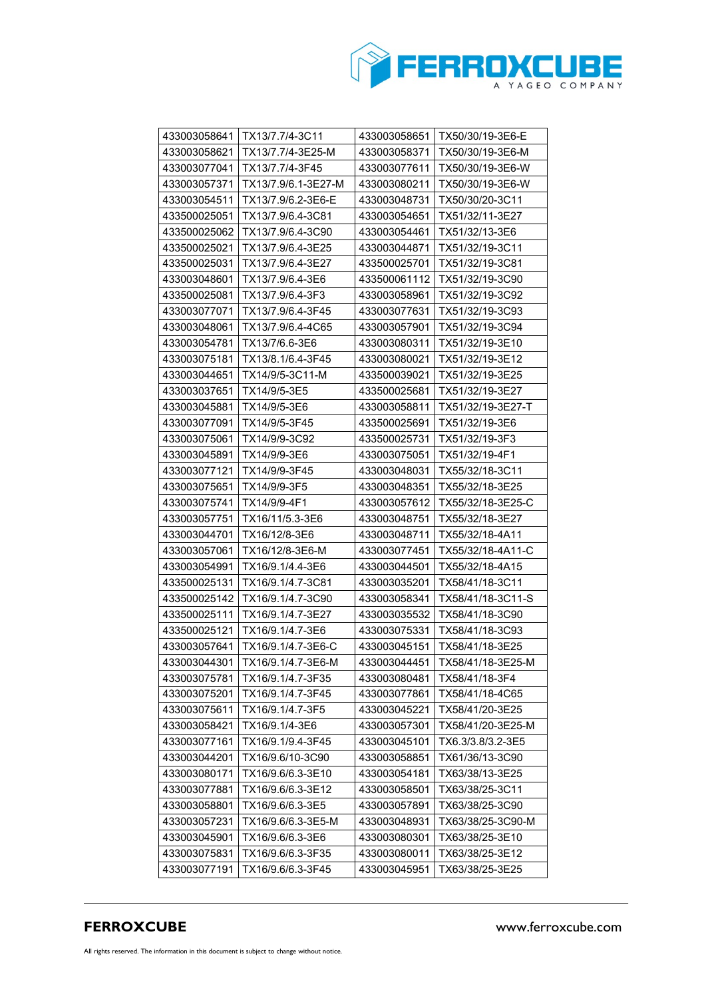

| 433003058641 | TX13/7.7/4-3C11     | 433003058651 | TX50/30/19-3E6-E  |
|--------------|---------------------|--------------|-------------------|
| 433003058621 | TX13/7.7/4-3E25-M   | 433003058371 | TX50/30/19-3E6-M  |
| 433003077041 | TX13/7.7/4-3F45     | 433003077611 | TX50/30/19-3E6-W  |
| 433003057371 | TX13/7.9/6.1-3E27-M | 433003080211 | TX50/30/19-3E6-W  |
| 433003054511 | TX13/7.9/6.2-3E6-E  | 433003048731 | TX50/30/20-3C11   |
| 433500025051 | TX13/7.9/6.4-3C81   | 433003054651 | TX51/32/11-3E27   |
| 433500025062 | TX13/7.9/6.4-3C90   | 433003054461 | TX51/32/13-3E6    |
| 433500025021 | TX13/7.9/6.4-3E25   | 433003044871 | TX51/32/19-3C11   |
| 433500025031 | TX13/7.9/6.4-3E27   | 433500025701 | TX51/32/19-3C81   |
| 433003048601 | TX13/7.9/6.4-3E6    | 433500061112 | TX51/32/19-3C90   |
| 433500025081 | TX13/7.9/6.4-3F3    | 433003058961 | TX51/32/19-3C92   |
| 433003077071 | TX13/7.9/6.4-3F45   | 433003077631 | TX51/32/19-3C93   |
| 433003048061 | TX13/7.9/6.4-4C65   | 433003057901 | TX51/32/19-3C94   |
| 433003054781 | TX13/7/6.6-3E6      | 433003080311 | TX51/32/19-3E10   |
| 433003075181 | TX13/8.1/6.4-3F45   | 433003080021 | TX51/32/19-3E12   |
| 433003044651 | TX14/9/5-3C11-M     | 433500039021 | TX51/32/19-3E25   |
| 433003037651 | TX14/9/5-3E5        | 433500025681 | TX51/32/19-3E27   |
| 433003045881 | TX14/9/5-3E6        | 433003058811 | TX51/32/19-3E27-T |
| 433003077091 | TX14/9/5-3F45       | 433500025691 | TX51/32/19-3E6    |
| 433003075061 | TX14/9/9-3C92       | 433500025731 | TX51/32/19-3F3    |
| 433003045891 | TX14/9/9-3E6        | 433003075051 | TX51/32/19-4F1    |
| 433003077121 | TX14/9/9-3F45       | 433003048031 | TX55/32/18-3C11   |
| 433003075651 | TX14/9/9-3F5        | 433003048351 | TX55/32/18-3E25   |
| 433003075741 | TX14/9/9-4F1        | 433003057612 | TX55/32/18-3E25-C |
| 433003057751 | TX16/11/5.3-3E6     | 433003048751 | TX55/32/18-3E27   |
| 433003044701 | TX16/12/8-3E6       | 433003048711 | TX55/32/18-4A11   |
| 433003057061 | TX16/12/8-3E6-M     | 433003077451 | TX55/32/18-4A11-C |
| 433003054991 | TX16/9.1/4.4-3E6    | 433003044501 | TX55/32/18-4A15   |
| 433500025131 | TX16/9.1/4.7-3C81   | 433003035201 | TX58/41/18-3C11   |
| 433500025142 | TX16/9.1/4.7-3C90   | 433003058341 | TX58/41/18-3C11-S |
| 433500025111 | TX16/9.1/4.7-3E27   | 433003035532 | TX58/41/18-3C90   |
| 433500025121 | TX16/9.1/4.7-3E6    | 433003075331 | TX58/41/18-3C93   |
| 433003057641 | TX16/9.1/4.7-3E6-C  | 433003045151 | TX58/41/18-3E25   |
| 433003044301 | TX16/9.1/4.7-3E6-M  | 433003044451 | TX58/41/18-3E25-M |
| 433003075781 | TX16/9.1/4.7-3F35   | 433003080481 | TX58/41/18-3F4    |
| 433003075201 | TX16/9.1/4.7-3F45   | 433003077861 | TX58/41/18-4C65   |
| 433003075611 | TX16/9.1/4.7-3F5    | 433003045221 | TX58/41/20-3E25   |
| 433003058421 | TX16/9.1/4-3E6      | 433003057301 | TX58/41/20-3E25-M |
| 433003077161 | TX16/9.1/9.4-3F45   | 433003045101 | TX6.3/3.8/3.2-3E5 |
| 433003044201 | TX16/9.6/10-3C90    | 433003058851 | TX61/36/13-3C90   |
| 433003080171 | TX16/9.6/6.3-3E10   | 433003054181 | TX63/38/13-3E25   |
| 433003077881 | TX16/9.6/6.3-3E12   | 433003058501 | TX63/38/25-3C11   |
| 433003058801 | TX16/9.6/6.3-3E5    | 433003057891 | TX63/38/25-3C90   |
| 433003057231 | TX16/9.6/6.3-3E5-M  | 433003048931 | TX63/38/25-3C90-M |
| 433003045901 | TX16/9.6/6.3-3E6    | 433003080301 | TX63/38/25-3E10   |
| 433003075831 | TX16/9.6/6.3-3F35   | 433003080011 | TX63/38/25-3E12   |
| 433003077191 | TX16/9.6/6.3-3F45   | 433003045951 | TX63/38/25-3E25   |
|              |                     |              |                   |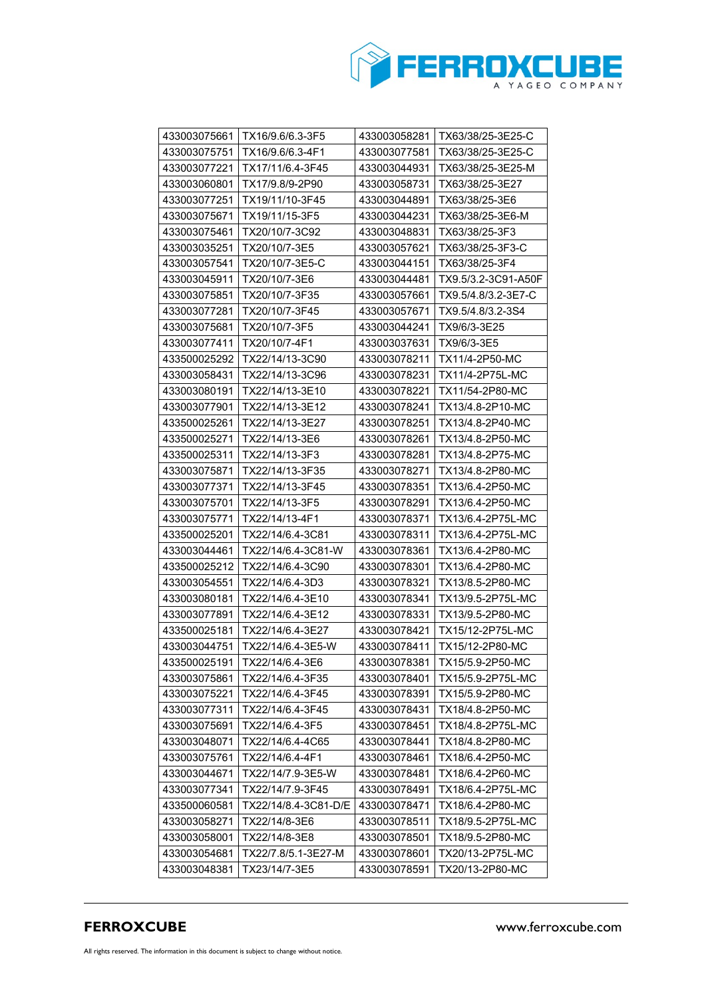

| 433003075661 | TX16/9.6/6.3-3F5     | 433003058281 | TX63/38/25-3E25-C   |
|--------------|----------------------|--------------|---------------------|
| 433003075751 | TX16/9.6/6.3-4F1     | 433003077581 | TX63/38/25-3E25-C   |
| 433003077221 | TX17/11/6.4-3F45     | 433003044931 | TX63/38/25-3E25-M   |
| 433003060801 | TX17/9.8/9-2P90      | 433003058731 | TX63/38/25-3E27     |
| 433003077251 | TX19/11/10-3F45      | 433003044891 | TX63/38/25-3E6      |
| 433003075671 | TX19/11/15-3F5       | 433003044231 | TX63/38/25-3E6-M    |
| 433003075461 | TX20/10/7-3C92       | 433003048831 | TX63/38/25-3F3      |
| 433003035251 | TX20/10/7-3E5        | 433003057621 | TX63/38/25-3F3-C    |
| 433003057541 | TX20/10/7-3E5-C      | 433003044151 | TX63/38/25-3F4      |
| 433003045911 | TX20/10/7-3E6        | 433003044481 | TX9.5/3.2-3C91-A50F |
| 433003075851 | TX20/10/7-3F35       | 433003057661 | TX9.5/4.8/3.2-3E7-C |
| 433003077281 | TX20/10/7-3F45       | 433003057671 | TX9.5/4.8/3.2-3S4   |
| 433003075681 | TX20/10/7-3F5        | 433003044241 | TX9/6/3-3E25        |
| 433003077411 | TX20/10/7-4F1        | 433003037631 | TX9/6/3-3E5         |
| 433500025292 | TX22/14/13-3C90      | 433003078211 | TX11/4-2P50-MC      |
| 433003058431 | TX22/14/13-3C96      | 433003078231 | TX11/4-2P75L-MC     |
| 433003080191 | TX22/14/13-3E10      | 433003078221 | TX11/54-2P80-MC     |
| 433003077901 | TX22/14/13-3E12      | 433003078241 | TX13/4.8-2P10-MC    |
| 433500025261 | TX22/14/13-3E27      | 433003078251 | TX13/4.8-2P40-MC    |
| 433500025271 | TX22/14/13-3E6       | 433003078261 | TX13/4.8-2P50-MC    |
| 433500025311 | TX22/14/13-3F3       | 433003078281 | TX13/4.8-2P75-MC    |
| 433003075871 | TX22/14/13-3F35      | 433003078271 | TX13/4.8-2P80-MC    |
| 433003077371 | TX22/14/13-3F45      | 433003078351 | TX13/6.4-2P50-MC    |
| 433003075701 | TX22/14/13-3F5       | 433003078291 | TX13/6.4-2P50-MC    |
| 433003075771 | TX22/14/13-4F1       | 433003078371 | TX13/6.4-2P75L-MC   |
| 433500025201 | TX22/14/6.4-3C81     | 433003078311 | TX13/6.4-2P75L-MC   |
| 433003044461 | TX22/14/6.4-3C81-W   | 433003078361 | TX13/6.4-2P80-MC    |
| 433500025212 | TX22/14/6.4-3C90     | 433003078301 | TX13/6.4-2P80-MC    |
| 433003054551 | TX22/14/6.4-3D3      | 433003078321 | TX13/8.5-2P80-MC    |
| 433003080181 | TX22/14/6.4-3E10     | 433003078341 | TX13/9.5-2P75L-MC   |
| 433003077891 | TX22/14/6.4-3E12     | 433003078331 | TX13/9.5-2P80-MC    |
| 433500025181 | TX22/14/6.4-3E27     | 433003078421 | TX15/12-2P75L-MC    |
| 433003044751 | TX22/14/6.4-3E5-W    | 433003078411 | TX15/12-2P80-MC     |
| 433500025191 | TX22/14/6.4-3E6      | 433003078381 | TX15/5.9-2P50-MC    |
| 433003075861 | TX22/14/6.4-3F35     | 433003078401 | TX15/5.9-2P75L-MC   |
| 433003075221 | TX22/14/6.4-3F45     | 433003078391 | TX15/5.9-2P80-MC    |
| 433003077311 | TX22/14/6.4-3F45     | 433003078431 | TX18/4.8-2P50-MC    |
| 433003075691 | TX22/14/6.4-3F5      | 433003078451 | TX18/4.8-2P75L-MC   |
| 433003048071 | TX22/14/6.4-4C65     | 433003078441 | TX18/4.8-2P80-MC    |
| 433003075761 | TX22/14/6.4-4F1      | 433003078461 | TX18/6.4-2P50-MC    |
| 433003044671 | TX22/14/7.9-3E5-W    | 433003078481 | TX18/6.4-2P60-MC    |
| 433003077341 | TX22/14/7.9-3F45     | 433003078491 | TX18/6.4-2P75L-MC   |
| 433500060581 | TX22/14/8.4-3C81-D/E | 433003078471 | TX18/6.4-2P80-MC    |
| 433003058271 | TX22/14/8-3E6        | 433003078511 | TX18/9.5-2P75L-MC   |
| 433003058001 | TX22/14/8-3E8        | 433003078501 | TX18/9.5-2P80-MC    |
| 433003054681 | TX22/7.8/5.1-3E27-M  | 433003078601 | TX20/13-2P75L-MC    |
| 433003048381 | TX23/14/7-3E5        | 433003078591 | TX20/13-2P80-MC     |
|              |                      |              |                     |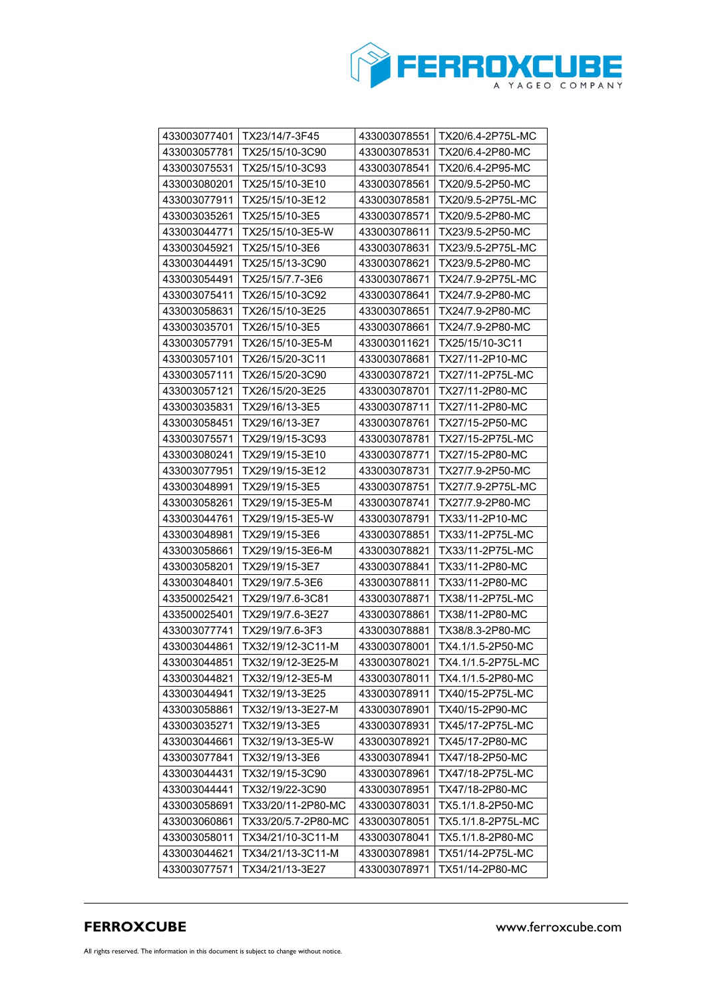

| 433003077401 | TX23/14/7-3F45      | 433003078551 | TX20/6.4-2P75L-MC  |
|--------------|---------------------|--------------|--------------------|
| 433003057781 | TX25/15/10-3C90     | 433003078531 | TX20/6.4-2P80-MC   |
| 433003075531 | TX25/15/10-3C93     | 433003078541 | TX20/6.4-2P95-MC   |
| 433003080201 | TX25/15/10-3E10     | 433003078561 | TX20/9.5-2P50-MC   |
| 433003077911 | TX25/15/10-3E12     | 433003078581 | TX20/9.5-2P75L-MC  |
| 433003035261 | TX25/15/10-3E5      | 433003078571 | TX20/9.5-2P80-MC   |
| 433003044771 | TX25/15/10-3E5-W    | 433003078611 | TX23/9.5-2P50-MC   |
| 433003045921 | TX25/15/10-3E6      | 433003078631 | TX23/9.5-2P75L-MC  |
| 433003044491 | TX25/15/13-3C90     | 433003078621 | TX23/9.5-2P80-MC   |
| 433003054491 | TX25/15/7.7-3E6     | 433003078671 | TX24/7.9-2P75L-MC  |
| 433003075411 | TX26/15/10-3C92     | 433003078641 | TX24/7.9-2P80-MC   |
| 433003058631 | TX26/15/10-3E25     | 433003078651 | TX24/7.9-2P80-MC   |
| 433003035701 | TX26/15/10-3E5      | 433003078661 | TX24/7.9-2P80-MC   |
| 433003057791 | TX26/15/10-3E5-M    | 433003011621 | TX25/15/10-3C11    |
| 433003057101 | TX26/15/20-3C11     | 433003078681 | TX27/11-2P10-MC    |
| 433003057111 | TX26/15/20-3C90     | 433003078721 | TX27/11-2P75L-MC   |
| 433003057121 | TX26/15/20-3E25     | 433003078701 | TX27/11-2P80-MC    |
| 433003035831 | TX29/16/13-3E5      | 433003078711 | TX27/11-2P80-MC    |
| 433003058451 | TX29/16/13-3E7      | 433003078761 | TX27/15-2P50-MC    |
| 433003075571 | TX29/19/15-3C93     | 433003078781 | TX27/15-2P75L-MC   |
| 433003080241 | TX29/19/15-3E10     | 433003078771 | TX27/15-2P80-MC    |
| 433003077951 | TX29/19/15-3E12     | 433003078731 | TX27/7.9-2P50-MC   |
| 433003048991 | TX29/19/15-3E5      | 433003078751 | TX27/7.9-2P75L-MC  |
| 433003058261 | TX29/19/15-3E5-M    | 433003078741 | TX27/7.9-2P80-MC   |
| 433003044761 | TX29/19/15-3E5-W    | 433003078791 | TX33/11-2P10-MC    |
| 433003048981 | TX29/19/15-3E6      | 433003078851 | TX33/11-2P75L-MC   |
| 433003058661 | TX29/19/15-3E6-M    | 433003078821 | TX33/11-2P75L-MC   |
| 433003058201 | TX29/19/15-3E7      | 433003078841 | TX33/11-2P80-MC    |
| 433003048401 | TX29/19/7.5-3E6     | 433003078811 | TX33/11-2P80-MC    |
| 433500025421 | TX29/19/7.6-3C81    | 433003078871 | TX38/11-2P75L-MC   |
| 433500025401 | TX29/19/7.6-3E27    | 433003078861 | TX38/11-2P80-MC    |
| 433003077741 | TX29/19/7.6-3F3     | 433003078881 | TX38/8.3-2P80-MC   |
| 433003044861 | TX32/19/12-3C11-M   | 433003078001 | TX4.1/1.5-2P50-MC  |
| 433003044851 | TX32/19/12-3E25-M   | 433003078021 | TX4.1/1.5-2P75L-MC |
| 433003044821 | TX32/19/12-3E5-M    | 433003078011 | TX4.1/1.5-2P80-MC  |
| 433003044941 | TX32/19/13-3E25     | 433003078911 | TX40/15-2P75L-MC   |
| 433003058861 | TX32/19/13-3E27-M   | 433003078901 | TX40/15-2P90-MC    |
| 433003035271 | TX32/19/13-3E5      | 433003078931 | TX45/17-2P75L-MC   |
| 433003044661 | TX32/19/13-3E5-W    | 433003078921 | TX45/17-2P80-MC    |
| 433003077841 | TX32/19/13-3E6      | 433003078941 | TX47/18-2P50-MC    |
| 433003044431 | TX32/19/15-3C90     | 433003078961 | TX47/18-2P75L-MC   |
| 433003044441 | TX32/19/22-3C90     | 433003078951 | TX47/18-2P80-MC    |
| 433003058691 | TX33/20/11-2P80-MC  | 433003078031 | TX5.1/1.8-2P50-MC  |
| 433003060861 | TX33/20/5.7-2P80-MC | 433003078051 | TX5.1/1.8-2P75L-MC |
| 433003058011 | TX34/21/10-3C11-M   | 433003078041 | TX5.1/1.8-2P80-MC  |
| 433003044621 | TX34/21/13-3C11-M   | 433003078981 | TX51/14-2P75L-MC   |
| 433003077571 | TX34/21/13-3E27     | 433003078971 | TX51/14-2P80-MC    |
|              |                     |              |                    |